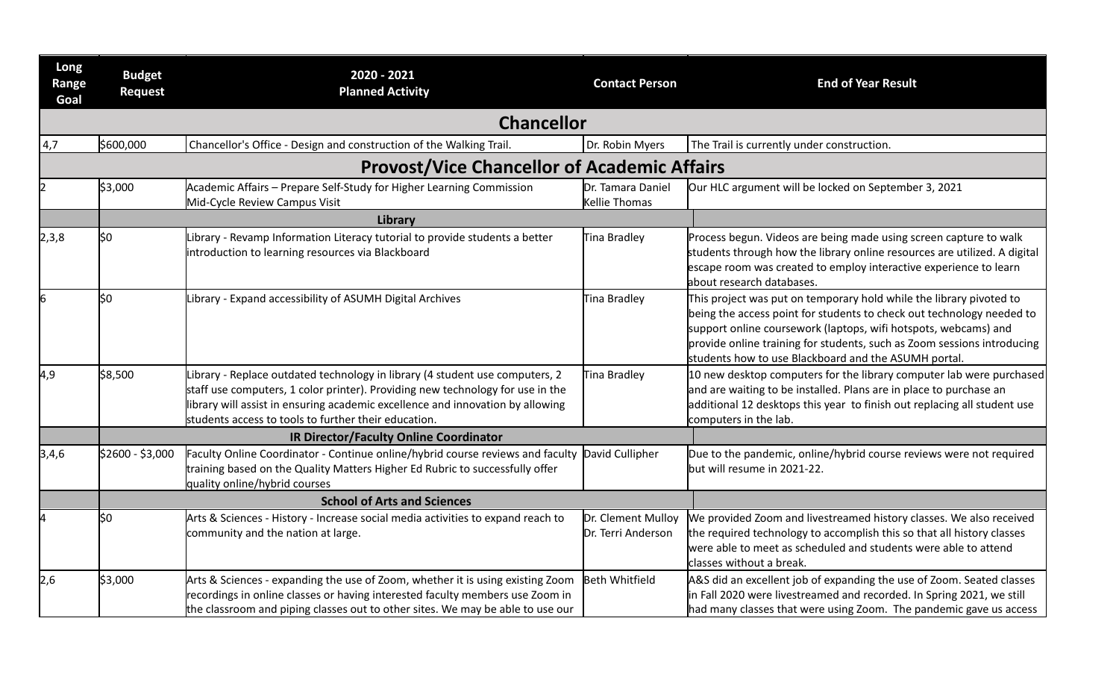| Long<br>Range<br>Goal | <b>Budget</b><br><b>Request</b>    | 2020 - 2021<br><b>Planned Activity</b>                                                                                                                                                                                                                                                                   | <b>Contact Person</b>                    | <b>End of Year Result</b>                                                                                                                                                                                                                                                                                                                          |
|-----------------------|------------------------------------|----------------------------------------------------------------------------------------------------------------------------------------------------------------------------------------------------------------------------------------------------------------------------------------------------------|------------------------------------------|----------------------------------------------------------------------------------------------------------------------------------------------------------------------------------------------------------------------------------------------------------------------------------------------------------------------------------------------------|
|                       |                                    | <b>Chancellor</b>                                                                                                                                                                                                                                                                                        |                                          |                                                                                                                                                                                                                                                                                                                                                    |
| 4,7                   | \$600,000                          | Chancellor's Office - Design and construction of the Walking Trail.                                                                                                                                                                                                                                      | Dr. Robin Myers                          | The Trail is currently under construction.                                                                                                                                                                                                                                                                                                         |
|                       |                                    | <b>Provost/Vice Chancellor of Academic Affairs</b>                                                                                                                                                                                                                                                       |                                          |                                                                                                                                                                                                                                                                                                                                                    |
| 2                     | \$3,000                            | Academic Affairs - Prepare Self-Study for Higher Learning Commission<br>Mid-Cycle Review Campus Visit                                                                                                                                                                                                    | Dr. Tamara Daniel<br>Kellie Thomas       | Our HLC argument will be locked on September 3, 2021                                                                                                                                                                                                                                                                                               |
|                       |                                    | Library                                                                                                                                                                                                                                                                                                  |                                          |                                                                                                                                                                                                                                                                                                                                                    |
| 2,3,8                 | l\$O                               | Library - Revamp Information Literacy tutorial to provide students a better<br>introduction to learning resources via Blackboard                                                                                                                                                                         | Tina Bradley                             | Process begun. Videos are being made using screen capture to walk<br>students through how the library online resources are utilized. A digital<br>escape room was created to employ interactive experience to learn<br>about research databases.                                                                                                   |
| 6                     | l\$O                               | Library - Expand accessibility of ASUMH Digital Archives                                                                                                                                                                                                                                                 | Tina Bradley                             | This project was put on temporary hold while the library pivoted to<br>being the access point for students to check out technology needed to<br>support online coursework (laptops, wifi hotspots, webcams) and<br>provide online training for students, such as Zoom sessions introducing<br>students how to use Blackboard and the ASUMH portal. |
| 4,9                   | \$8,500                            | Library - Replace outdated technology in library (4 student use computers, 2<br>staff use computers, 1 color printer). Providing new technology for use in the<br>library will assist in ensuring academic excellence and innovation by allowing<br>students access to tools to further their education. | Tina Bradley                             | 10 new desktop computers for the library computer lab were purchased<br>and are waiting to be installed. Plans are in place to purchase an<br>additional 12 desktops this year to finish out replacing all student use<br>computers in the lab.                                                                                                    |
|                       |                                    | <b>IR Director/Faculty Online Coordinator</b>                                                                                                                                                                                                                                                            |                                          |                                                                                                                                                                                                                                                                                                                                                    |
| 3,4,6                 | \$2600 - \$3,000                   | Faculty Online Coordinator - Continue online/hybrid course reviews and faculty David Cullipher<br>training based on the Quality Matters Higher Ed Rubric to successfully offer<br>quality online/hybrid courses                                                                                          |                                          | Due to the pandemic, online/hybrid course reviews were not required<br>but will resume in 2021-22.                                                                                                                                                                                                                                                 |
|                       | <b>School of Arts and Sciences</b> |                                                                                                                                                                                                                                                                                                          |                                          |                                                                                                                                                                                                                                                                                                                                                    |
| 4                     | \$0                                | Arts & Sciences - History - Increase social media activities to expand reach to<br>community and the nation at large.                                                                                                                                                                                    | Dr. Clement Mulloy<br>Dr. Terri Anderson | We provided Zoom and livestreamed history classes. We also received<br>the required technology to accomplish this so that all history classes<br>were able to meet as scheduled and students were able to attend<br>classes without a break.                                                                                                       |
| 2,6                   | \$3,000                            | Arts & Sciences - expanding the use of Zoom, whether it is using existing Zoom<br>recordings in online classes or having interested faculty members use Zoom in<br>the classroom and piping classes out to other sites. We may be able to use our                                                        | <b>Beth Whitfield</b>                    | A&S did an excellent job of expanding the use of Zoom. Seated classes<br>in Fall 2020 were livestreamed and recorded. In Spring 2021, we still<br>had many classes that were using Zoom. The pandemic gave us access                                                                                                                               |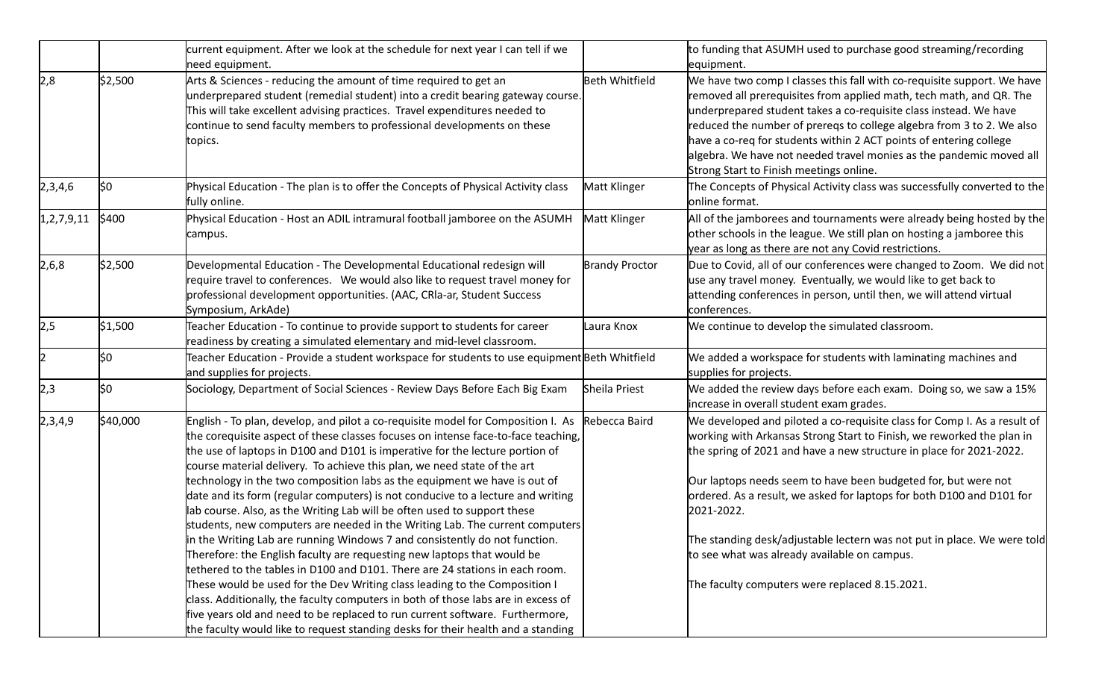|                |          | current equipment. After we look at the schedule for next year I can tell if we<br>need equipment.                                                                                                                                                                                                                                                                                                                                                                                                                                                                                                                                                            |                       | to funding that ASUMH used to purchase good streaming/recording<br>equipment.                                                                                                                                                                                                                                                                                                                                                                                                        |
|----------------|----------|---------------------------------------------------------------------------------------------------------------------------------------------------------------------------------------------------------------------------------------------------------------------------------------------------------------------------------------------------------------------------------------------------------------------------------------------------------------------------------------------------------------------------------------------------------------------------------------------------------------------------------------------------------------|-----------------------|--------------------------------------------------------------------------------------------------------------------------------------------------------------------------------------------------------------------------------------------------------------------------------------------------------------------------------------------------------------------------------------------------------------------------------------------------------------------------------------|
| 2,8            | \$2,500  | Arts & Sciences - reducing the amount of time required to get an<br>underprepared student (remedial student) into a credit bearing gateway course.<br>This will take excellent advising practices. Travel expenditures needed to<br>continue to send faculty members to professional developments on these<br>topics.                                                                                                                                                                                                                                                                                                                                         | <b>Beth Whitfield</b> | We have two comp I classes this fall with co-requisite support. We have<br>removed all prerequisites from applied math, tech math, and QR. The<br>underprepared student takes a co-requisite class instead. We have<br>reduced the number of prereqs to college algebra from 3 to 2. We also<br>have a co-req for students within 2 ACT points of entering college<br>algebra. We have not needed travel monies as the pandemic moved all<br>Strong Start to Finish meetings online. |
| 2,3,4,6        | \$0      | Physical Education - The plan is to offer the Concepts of Physical Activity class<br>fully online.                                                                                                                                                                                                                                                                                                                                                                                                                                                                                                                                                            | Matt Klinger          | The Concepts of Physical Activity class was successfully converted to the<br>online format.                                                                                                                                                                                                                                                                                                                                                                                          |
| 1, 2, 7, 9, 11 | \$400    | Physical Education - Host an ADIL intramural football jamboree on the ASUMH<br>campus.                                                                                                                                                                                                                                                                                                                                                                                                                                                                                                                                                                        | Matt Klinger          | All of the jamborees and tournaments were already being hosted by the<br>other schools in the league. We still plan on hosting a jamboree this<br>year as long as there are not any Covid restrictions.                                                                                                                                                                                                                                                                              |
| 2,6,8          | \$2,500  | Developmental Education - The Developmental Educational redesign will<br>require travel to conferences. We would also like to request travel money for<br>professional development opportunities. (AAC, CRIa-ar, Student Success<br>Symposium, ArkAde)                                                                                                                                                                                                                                                                                                                                                                                                        | <b>Brandy Proctor</b> | Due to Covid, all of our conferences were changed to Zoom. We did not<br>use any travel money. Eventually, we would like to get back to<br>attending conferences in person, until then, we will attend virtual<br>conferences.                                                                                                                                                                                                                                                       |
| 2,5            | \$1,500  | Teacher Education - To continue to provide support to students for career<br>readiness by creating a simulated elementary and mid-level classroom.                                                                                                                                                                                                                                                                                                                                                                                                                                                                                                            | Laura Knox            | We continue to develop the simulated classroom.                                                                                                                                                                                                                                                                                                                                                                                                                                      |
|                | ļ\$0     | Teacher Education - Provide a student workspace for students to use equipment Beth Whitfield<br>and supplies for projects.                                                                                                                                                                                                                                                                                                                                                                                                                                                                                                                                    |                       | We added a workspace for students with laminating machines and<br>supplies for projects.                                                                                                                                                                                                                                                                                                                                                                                             |
| 2,3            | l\$0     | Sociology, Department of Social Sciences - Review Days Before Each Big Exam                                                                                                                                                                                                                                                                                                                                                                                                                                                                                                                                                                                   | Sheila Priest         | We added the review days before each exam. Doing so, we saw a 15%<br>increase in overall student exam grades.                                                                                                                                                                                                                                                                                                                                                                        |
| 2,3,4,9        | \$40,000 | English - To plan, develop, and pilot a co-requisite model for Composition I. As<br>the corequisite aspect of these classes focuses on intense face-to-face teaching,<br>the use of laptops in D100 and D101 is imperative for the lecture portion of<br>course material delivery. To achieve this plan, we need state of the art<br>technology in the two composition labs as the equipment we have is out of<br>date and its form (regular computers) is not conducive to a lecture and writing<br>lab course. Also, as the Writing Lab will be often used to support these<br>students, new computers are needed in the Writing Lab. The current computers | Rebecca Baird         | We developed and piloted a co-requisite class for Comp I. As a result of<br>working with Arkansas Strong Start to Finish, we reworked the plan in<br>the spring of 2021 and have a new structure in place for 2021-2022.<br>Our laptops needs seem to have been budgeted for, but were not<br>ordered. As a result, we asked for laptops for both D100 and D101 for<br>2021-2022.                                                                                                    |
|                |          | in the Writing Lab are running Windows 7 and consistently do not function.<br>Therefore: the English faculty are requesting new laptops that would be<br>tethered to the tables in D100 and D101. There are 24 stations in each room.<br>These would be used for the Dev Writing class leading to the Composition I<br>class. Additionally, the faculty computers in both of those labs are in excess of<br>five years old and need to be replaced to run current software. Furthermore,<br>the faculty would like to request standing desks for their health and a standing                                                                                  |                       | The standing desk/adjustable lectern was not put in place. We were told<br>to see what was already available on campus.<br>The faculty computers were replaced 8.15.2021.                                                                                                                                                                                                                                                                                                            |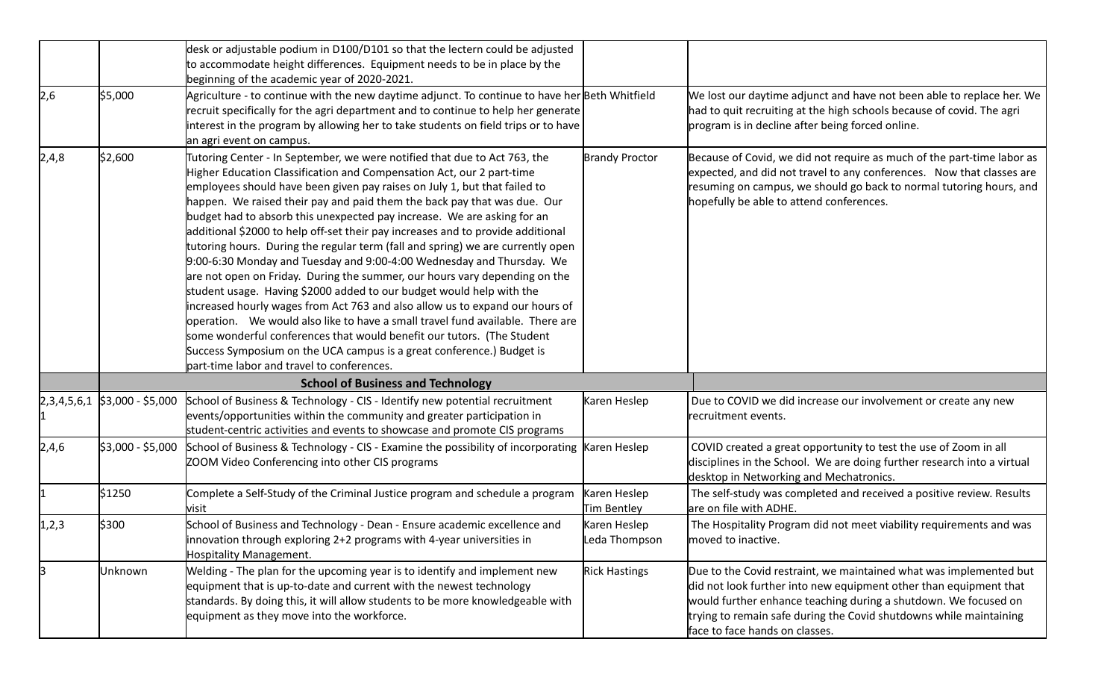|       |                                   | desk or adjustable podium in D100/D101 so that the lectern could be adjusted                                                                                                                                                                                                                                                                                                                                                                                                                                                                                                                                                                                                                                                                                                                                                                                                                                                                                                                                                                                                                                                                                   |                               |                                                                                                                                                                                                                                                                                                                    |
|-------|-----------------------------------|----------------------------------------------------------------------------------------------------------------------------------------------------------------------------------------------------------------------------------------------------------------------------------------------------------------------------------------------------------------------------------------------------------------------------------------------------------------------------------------------------------------------------------------------------------------------------------------------------------------------------------------------------------------------------------------------------------------------------------------------------------------------------------------------------------------------------------------------------------------------------------------------------------------------------------------------------------------------------------------------------------------------------------------------------------------------------------------------------------------------------------------------------------------|-------------------------------|--------------------------------------------------------------------------------------------------------------------------------------------------------------------------------------------------------------------------------------------------------------------------------------------------------------------|
|       |                                   | to accommodate height differences. Equipment needs to be in place by the                                                                                                                                                                                                                                                                                                                                                                                                                                                                                                                                                                                                                                                                                                                                                                                                                                                                                                                                                                                                                                                                                       |                               |                                                                                                                                                                                                                                                                                                                    |
|       |                                   | beginning of the academic year of 2020-2021.                                                                                                                                                                                                                                                                                                                                                                                                                                                                                                                                                                                                                                                                                                                                                                                                                                                                                                                                                                                                                                                                                                                   |                               |                                                                                                                                                                                                                                                                                                                    |
| 2,6   | \$5,000                           | Agriculture - to continue with the new daytime adjunct. To continue to have her Beth Whitfield<br>recruit specifically for the agri department and to continue to help her generate<br>interest in the program by allowing her to take students on field trips or to have<br>an agri event on campus.                                                                                                                                                                                                                                                                                                                                                                                                                                                                                                                                                                                                                                                                                                                                                                                                                                                          |                               | We lost our daytime adjunct and have not been able to replace her. We<br>had to quit recruiting at the high schools because of covid. The agri<br>program is in decline after being forced online.                                                                                                                 |
| 2,4,8 | \$2,600                           | Tutoring Center - In September, we were notified that due to Act 763, the<br>Higher Education Classification and Compensation Act, our 2 part-time<br>employees should have been given pay raises on July 1, but that failed to<br>happen. We raised their pay and paid them the back pay that was due. Our<br>budget had to absorb this unexpected pay increase. We are asking for an<br>additional \$2000 to help off-set their pay increases and to provide additional<br>tutoring hours. During the regular term (fall and spring) we are currently open<br>9:00-6:30 Monday and Tuesday and 9:00-4:00 Wednesday and Thursday. We<br>are not open on Friday. During the summer, our hours vary depending on the<br>student usage. Having \$2000 added to our budget would help with the<br>increased hourly wages from Act 763 and also allow us to expand our hours of<br>operation. We would also like to have a small travel fund available. There are<br>some wonderful conferences that would benefit our tutors. (The Student<br>Success Symposium on the UCA campus is a great conference.) Budget is<br>part-time labor and travel to conferences. | <b>Brandy Proctor</b>         | Because of Covid, we did not require as much of the part-time labor as<br>expected, and did not travel to any conferences. Now that classes are<br>resuming on campus, we should go back to normal tutoring hours, and<br>hopefully be able to attend conferences.                                                 |
|       |                                   | <b>School of Business and Technology</b>                                                                                                                                                                                                                                                                                                                                                                                                                                                                                                                                                                                                                                                                                                                                                                                                                                                                                                                                                                                                                                                                                                                       |                               |                                                                                                                                                                                                                                                                                                                    |
|       | $ 2,3,4,5,6,1 $ \$3,000 - \$5,000 | School of Business & Technology - CIS - Identify new potential recruitment<br>events/opportunities within the community and greater participation in<br>student-centric activities and events to showcase and promote CIS programs                                                                                                                                                                                                                                                                                                                                                                                                                                                                                                                                                                                                                                                                                                                                                                                                                                                                                                                             | Karen Heslep                  | Due to COVID we did increase our involvement or create any new<br>recruitment events.                                                                                                                                                                                                                              |
| 2,4,6 | \$3,000 - \$5,000                 | School of Business & Technology - CIS - Examine the possibility of incorporating<br>ZOOM Video Conferencing into other CIS programs                                                                                                                                                                                                                                                                                                                                                                                                                                                                                                                                                                                                                                                                                                                                                                                                                                                                                                                                                                                                                            | Karen Heslep                  | COVID created a great opportunity to test the use of Zoom in all<br>disciplines in the School. We are doing further research into a virtual<br>desktop in Networking and Mechatronics.                                                                                                                             |
|       | \$1250                            | Complete a Self-Study of the Criminal Justice program and schedule a program<br>visit                                                                                                                                                                                                                                                                                                                                                                                                                                                                                                                                                                                                                                                                                                                                                                                                                                                                                                                                                                                                                                                                          | Karen Heslep<br>Tim Bentley   | The self-study was completed and received a positive review. Results<br>are on file with ADHE.                                                                                                                                                                                                                     |
| 1,2,3 | \$300                             | School of Business and Technology - Dean - Ensure academic excellence and<br>innovation through exploring 2+2 programs with 4-year universities in<br>Hospitality Management.                                                                                                                                                                                                                                                                                                                                                                                                                                                                                                                                                                                                                                                                                                                                                                                                                                                                                                                                                                                  | Karen Heslep<br>Leda Thompson | The Hospitality Program did not meet viability requirements and was<br>moved to inactive.                                                                                                                                                                                                                          |
|       | Unknown                           | Welding - The plan for the upcoming year is to identify and implement new<br>equipment that is up-to-date and current with the newest technology<br>standards. By doing this, it will allow students to be more knowledgeable with<br>equipment as they move into the workforce.                                                                                                                                                                                                                                                                                                                                                                                                                                                                                                                                                                                                                                                                                                                                                                                                                                                                               | <b>Rick Hastings</b>          | Due to the Covid restraint, we maintained what was implemented but<br>did not look further into new equipment other than equipment that<br>would further enhance teaching during a shutdown. We focused on<br>trying to remain safe during the Covid shutdowns while maintaining<br>face to face hands on classes. |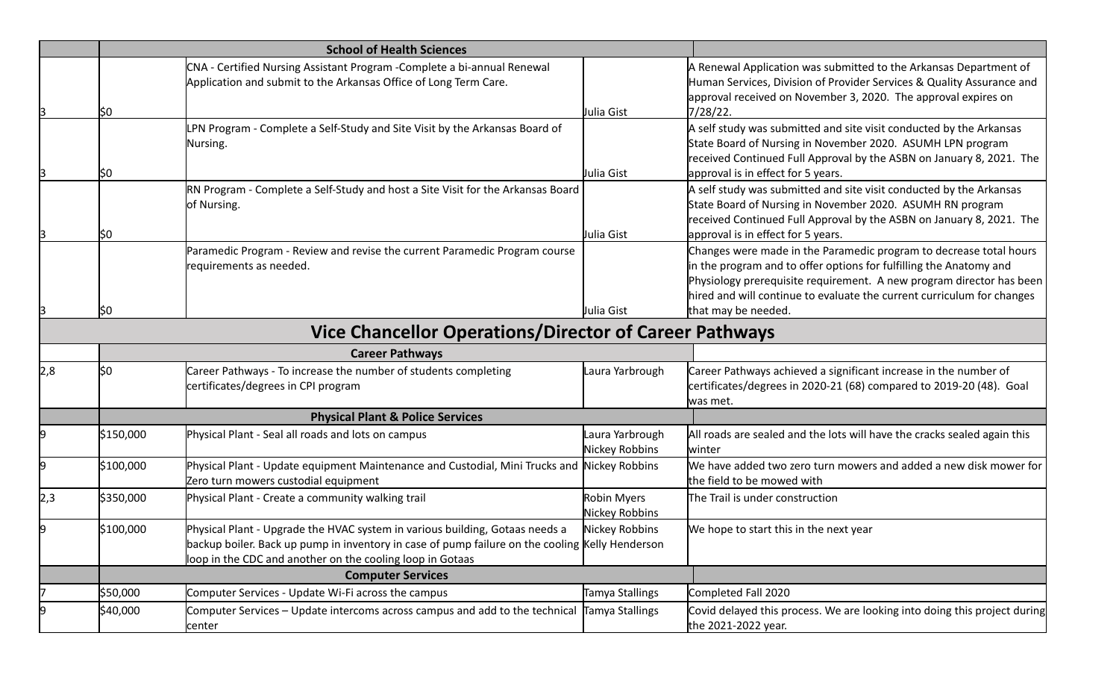|     | <b>School of Health Sciences</b>            |                                                                                                                                                                                                                                              |                                   |                                                                                                                                                                                                                                                                                                                   |
|-----|---------------------------------------------|----------------------------------------------------------------------------------------------------------------------------------------------------------------------------------------------------------------------------------------------|-----------------------------------|-------------------------------------------------------------------------------------------------------------------------------------------------------------------------------------------------------------------------------------------------------------------------------------------------------------------|
|     | lSO.                                        | CNA - Certified Nursing Assistant Program - Complete a bi-annual Renewal<br>Application and submit to the Arkansas Office of Long Term Care.                                                                                                 | Julia Gist                        | A Renewal Application was submitted to the Arkansas Department of<br>Human Services, Division of Provider Services & Quality Assurance and<br>approval received on November 3, 2020. The approval expires on<br>7/28/22.                                                                                          |
|     | ISO.                                        | PN Program - Complete a Self-Study and Site Visit by the Arkansas Board of<br>Nursing.                                                                                                                                                       | Julia Gist                        | A self study was submitted and site visit conducted by the Arkansas<br>State Board of Nursing in November 2020. ASUMH LPN program<br>received Continued Full Approval by the ASBN on January 8, 2021. The<br>approval is in effect for 5 years.                                                                   |
|     | ISO.                                        | RN Program - Complete a Self-Study and host a Site Visit for the Arkansas Board<br>of Nursing.                                                                                                                                               | Julia Gist                        | A self study was submitted and site visit conducted by the Arkansas<br>State Board of Nursing in November 2020. ASUMH RN program<br>received Continued Full Approval by the ASBN on January 8, 2021. The<br>approval is in effect for 5 years.                                                                    |
|     | ļ\$0                                        | Paramedic Program - Review and revise the current Paramedic Program course<br>requirements as needed.                                                                                                                                        | Julia Gist                        | Changes were made in the Paramedic program to decrease total hours<br>in the program and to offer options for fulfilling the Anatomy and<br>Physiology prerequisite requirement. A new program director has been<br>hired and will continue to evaluate the current curriculum for changes<br>that may be needed. |
|     |                                             | <b>Vice Chancellor Operations/Director of Career Pathways</b>                                                                                                                                                                                |                                   |                                                                                                                                                                                                                                                                                                                   |
|     | <b>Career Pathways</b>                      |                                                                                                                                                                                                                                              |                                   |                                                                                                                                                                                                                                                                                                                   |
| 2,8 | l\$0                                        | Career Pathways - To increase the number of students completing<br>certificates/degrees in CPI program                                                                                                                                       | Laura Yarbrough                   | Career Pathways achieved a significant increase in the number of<br>certificates/degrees in 2020-21 (68) compared to 2019-20 (48). Goal<br>was met.                                                                                                                                                               |
|     | <b>Physical Plant &amp; Police Services</b> |                                                                                                                                                                                                                                              |                                   |                                                                                                                                                                                                                                                                                                                   |
|     | \$150,000                                   | Physical Plant - Seal all roads and lots on campus                                                                                                                                                                                           | Laura Yarbrough<br>Nickey Robbins | All roads are sealed and the lots will have the cracks sealed again this<br>lwinter                                                                                                                                                                                                                               |
|     | \$100,000                                   | Physical Plant - Update equipment Maintenance and Custodial, Mini Trucks and Nickey Robbins<br>Zero turn mowers custodial equipment                                                                                                          |                                   | We have added two zero turn mowers and added a new disk mower for<br>the field to be mowed with                                                                                                                                                                                                                   |
| 2,3 | \$350,000                                   | Physical Plant - Create a community walking trail                                                                                                                                                                                            | Robin Myers<br>Nickey Robbins     | The Trail is under construction                                                                                                                                                                                                                                                                                   |
|     | \$100,000                                   | Physical Plant - Upgrade the HVAC system in various building, Gotaas needs a<br>backup boiler. Back up pump in inventory in case of pump failure on the cooling Kelly Henderson<br>loop in the CDC and another on the cooling loop in Gotaas | Nickey Robbins                    | We hope to start this in the next year                                                                                                                                                                                                                                                                            |
|     |                                             | <b>Computer Services</b>                                                                                                                                                                                                                     |                                   |                                                                                                                                                                                                                                                                                                                   |
|     | \$50,000                                    | Computer Services - Update Wi-Fi across the campus                                                                                                                                                                                           | Tamya Stallings                   | Completed Fall 2020                                                                                                                                                                                                                                                                                               |
|     | \$40,000                                    | Computer Services – Update intercoms across campus and add to the technical Tamya Stallings<br>center                                                                                                                                        |                                   | Covid delayed this process. We are looking into doing this project during<br>the 2021-2022 year.                                                                                                                                                                                                                  |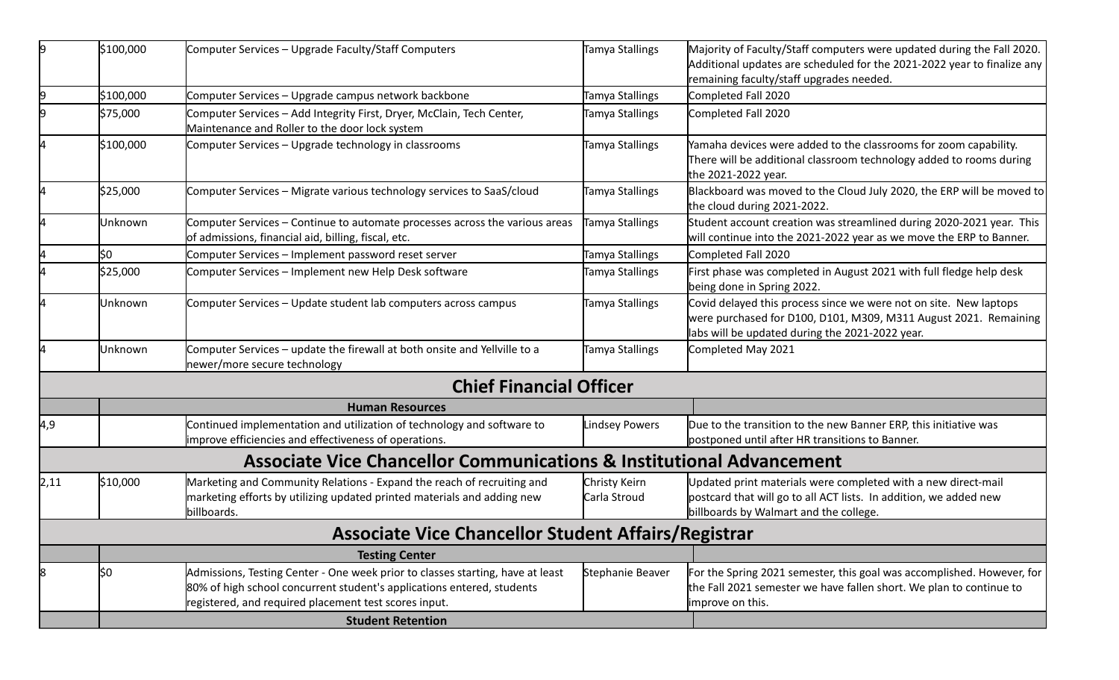| 19   | \$100,000 | Computer Services - Upgrade Faculty/Staff Computers                                                                                                                                                               | Tamya Stallings               | Majority of Faculty/Staff computers were updated during the Fall 2020.<br>Additional updates are scheduled for the 2021-2022 year to finalize any                                        |
|------|-----------|-------------------------------------------------------------------------------------------------------------------------------------------------------------------------------------------------------------------|-------------------------------|------------------------------------------------------------------------------------------------------------------------------------------------------------------------------------------|
| 9    | \$100,000 | Computer Services - Upgrade campus network backbone                                                                                                                                                               | Tamya Stallings               | remaining faculty/staff upgrades needed.<br>Completed Fall 2020                                                                                                                          |
|      | \$75,000  | Computer Services - Add Integrity First, Dryer, McClain, Tech Center,<br>Maintenance and Roller to the door lock system                                                                                           | Tamya Stallings               | Completed Fall 2020                                                                                                                                                                      |
|      | \$100,000 | Computer Services - Upgrade technology in classrooms                                                                                                                                                              | Tamya Stallings               | Yamaha devices were added to the classrooms for zoom capability.<br>There will be additional classroom technology added to rooms during<br>the 2021-2022 year.                           |
|      | \$25,000  | Computer Services - Migrate various technology services to SaaS/cloud                                                                                                                                             | Tamya Stallings               | Blackboard was moved to the Cloud July 2020, the ERP will be moved to<br>the cloud during 2021-2022.                                                                                     |
|      | Unknown   | Computer Services – Continue to automate processes across the various areas<br>of admissions, financial aid, billing, fiscal, etc.                                                                                | Tamya Stallings               | Student account creation was streamlined during 2020-2021 year. This<br>will continue into the 2021-2022 year as we move the ERP to Banner.                                              |
|      | \$0       | Computer Services - Implement password reset server                                                                                                                                                               | Tamya Stallings               | Completed Fall 2020                                                                                                                                                                      |
|      | \$25,000  | Computer Services - Implement new Help Desk software                                                                                                                                                              | Tamya Stallings               | First phase was completed in August 2021 with full fledge help desk<br>being done in Spring 2022.                                                                                        |
|      | Unknown   | Computer Services – Update student lab computers across campus                                                                                                                                                    | Tamya Stallings               | Covid delayed this process since we were not on site. New laptops<br>were purchased for D100, D101, M309, M311 August 2021. Remaining<br>labs will be updated during the 2021-2022 year. |
|      | Unknown   | Computer Services – update the firewall at both onsite and Yellville to a<br>newer/more secure technology                                                                                                         | Tamya Stallings               | Completed May 2021                                                                                                                                                                       |
|      |           | <b>Chief Financial Officer</b>                                                                                                                                                                                    |                               |                                                                                                                                                                                          |
|      |           | <b>Human Resources</b>                                                                                                                                                                                            |                               |                                                                                                                                                                                          |
| 4,9  |           | Continued implementation and utilization of technology and software to<br>improve efficiencies and effectiveness of operations.                                                                                   | <b>Lindsey Powers</b>         | Due to the transition to the new Banner ERP, this initiative was<br>postponed until after HR transitions to Banner.                                                                      |
|      |           | <b>Associate Vice Chancellor Communications &amp; Institutional Advancement</b>                                                                                                                                   |                               |                                                                                                                                                                                          |
| 2,11 | \$10,000  | Marketing and Community Relations - Expand the reach of recruiting and<br>marketing efforts by utilizing updated printed materials and adding new<br>billboards.                                                  | Christy Keirn<br>Carla Stroud | Updated print materials were completed with a new direct-mail<br>postcard that will go to all ACT lists. In addition, we added new<br>billboards by Walmart and the college.             |
|      |           | <b>Associate Vice Chancellor Student Affairs/Registrar</b>                                                                                                                                                        |                               |                                                                                                                                                                                          |
|      |           | <b>Testing Center</b>                                                                                                                                                                                             |                               |                                                                                                                                                                                          |
| 8    | l\$0      | Admissions, Testing Center - One week prior to classes starting, have at least<br>80% of high school concurrent student's applications entered, students<br>registered, and required placement test scores input. | Stephanie Beaver              | For the Spring 2021 semester, this goal was accomplished. However, for<br>the Fall 2021 semester we have fallen short. We plan to continue to<br>limprove on this.                       |
|      |           | <b>Student Retention</b>                                                                                                                                                                                          |                               |                                                                                                                                                                                          |